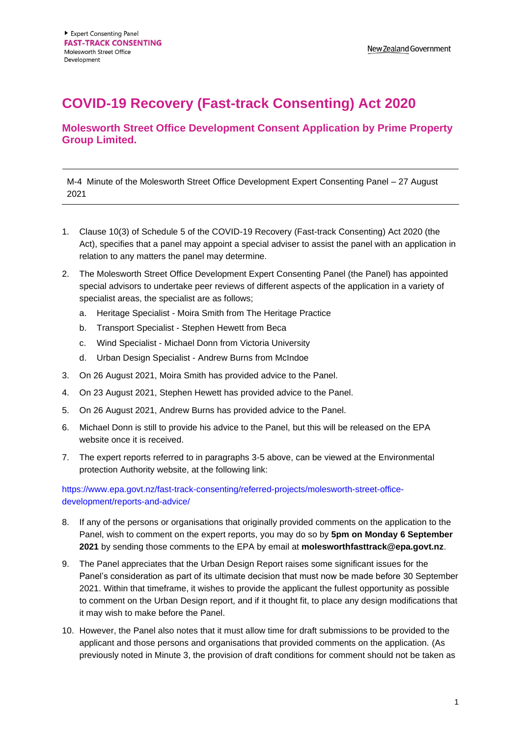## **COVID-19 Recovery (Fast-track Consenting) Act 2020**

## **Molesworth Street Office Development Consent Application by Prime Property Group Limited.**

M-4 Minute of the Molesworth Street Office Development Expert Consenting Panel – 27 August 2021

- 1. Clause 10(3) of Schedule 5 of the COVID-19 Recovery (Fast-track Consenting) Act 2020 (the Act), specifies that a panel may appoint a special adviser to assist the panel with an application in relation to any matters the panel may determine.
- 2. The Molesworth Street Office Development Expert Consenting Panel (the Panel) has appointed special advisors to undertake peer reviews of different aspects of the application in a variety of specialist areas, the specialist are as follows;
	- a. Heritage Specialist Moira Smith from The Heritage Practice
	- b. Transport Specialist Stephen Hewett from Beca
	- c. Wind Specialist Michael Donn from Victoria University
	- d. Urban Design Specialist Andrew Burns from McIndoe
- 3. On 26 August 2021, Moira Smith has provided advice to the Panel.
- 4. On 23 August 2021, Stephen Hewett has provided advice to the Panel.
- 5. On 26 August 2021, Andrew Burns has provided advice to the Panel.
- 6. Michael Donn is still to provide his advice to the Panel, but this will be released on the EPA website once it is received.
- 7. The expert reports referred to in paragraphs 3-5 above, can be viewed at the Environmental protection Authority website, at the following link:

## [https://www.epa.govt.nz/fast-track-consenting/referred-projects/molesworth-street-office](https://www.epa.govt.nz/fast-track-consenting/referred-projects/molesworth-street-office-development/reports-and-advice/)[development/reports-and-advice/](https://www.epa.govt.nz/fast-track-consenting/referred-projects/molesworth-street-office-development/reports-and-advice/)

- 8. If any of the persons or organisations that originally provided comments on the application to the Panel, wish to comment on the expert reports, you may do so by **5pm on Monday 6 September 2021** by sending those comments to the EPA by email at **molesworthfasttrack@epa.govt.nz**.
- 9. The Panel appreciates that the Urban Design Report raises some significant issues for the Panel's consideration as part of its ultimate decision that must now be made before 30 September 2021. Within that timeframe, it wishes to provide the applicant the fullest opportunity as possible to comment on the Urban Design report, and if it thought fit, to place any design modifications that it may wish to make before the Panel.
- 10. However, the Panel also notes that it must allow time for draft submissions to be provided to the applicant and those persons and organisations that provided comments on the application. (As previously noted in Minute 3, the provision of draft conditions for comment should not be taken as